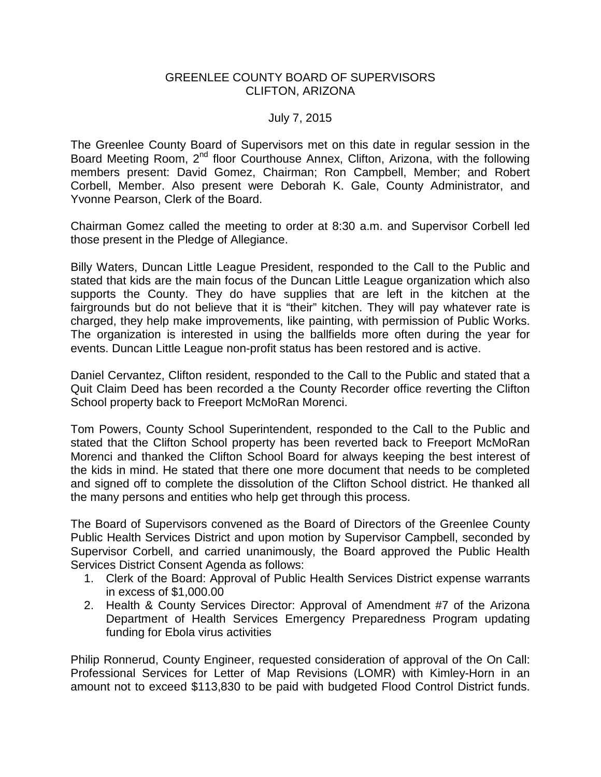## GREENLEE COUNTY BOARD OF SUPERVISORS CLIFTON, ARIZONA

## July 7, 2015

The Greenlee County Board of Supervisors met on this date in regular session in the Board Meeting Room, 2<sup>nd</sup> floor Courthouse Annex, Clifton, Arizona, with the following members present: David Gomez, Chairman; Ron Campbell, Member; and Robert Corbell, Member. Also present were Deborah K. Gale, County Administrator, and Yvonne Pearson, Clerk of the Board.

Chairman Gomez called the meeting to order at 8:30 a.m. and Supervisor Corbell led those present in the Pledge of Allegiance.

Billy Waters, Duncan Little League President, responded to the Call to the Public and stated that kids are the main focus of the Duncan Little League organization which also supports the County. They do have supplies that are left in the kitchen at the fairgrounds but do not believe that it is "their" kitchen. They will pay whatever rate is charged, they help make improvements, like painting, with permission of Public Works. The organization is interested in using the ballfields more often during the year for events. Duncan Little League non-profit status has been restored and is active.

Daniel Cervantez, Clifton resident, responded to the Call to the Public and stated that a Quit Claim Deed has been recorded a the County Recorder office reverting the Clifton School property back to Freeport McMoRan Morenci.

Tom Powers, County School Superintendent, responded to the Call to the Public and stated that the Clifton School property has been reverted back to Freeport McMoRan Morenci and thanked the Clifton School Board for always keeping the best interest of the kids in mind. He stated that there one more document that needs to be completed and signed off to complete the dissolution of the Clifton School district. He thanked all the many persons and entities who help get through this process.

The Board of Supervisors convened as the Board of Directors of the Greenlee County Public Health Services District and upon motion by Supervisor Campbell, seconded by Supervisor Corbell, and carried unanimously, the Board approved the Public Health Services District Consent Agenda as follows:

- 1. Clerk of the Board: Approval of Public Health Services District expense warrants in excess of \$1,000.00
- 2. Health & County Services Director: Approval of Amendment #7 of the Arizona Department of Health Services Emergency Preparedness Program updating funding for Ebola virus activities

Philip Ronnerud, County Engineer, requested consideration of approval of the On Call: Professional Services for Letter of Map Revisions (LOMR) with Kimley-Horn in an amount not to exceed \$113,830 to be paid with budgeted Flood Control District funds.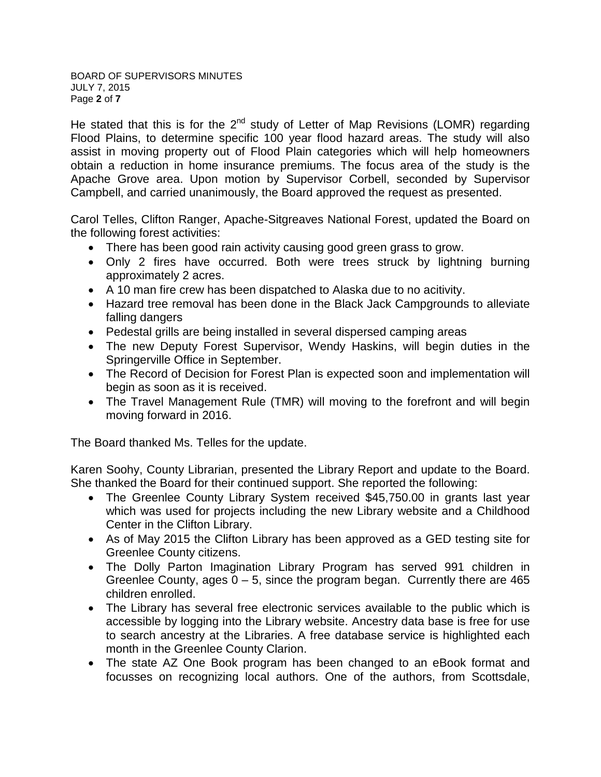BOARD OF SUPERVISORS MINUTES JULY 7, 2015 Page **2** of **7**

He stated that this is for the  $2^{nd}$  study of Letter of Map Revisions (LOMR) regarding Flood Plains, to determine specific 100 year flood hazard areas. The study will also assist in moving property out of Flood Plain categories which will help homeowners obtain a reduction in home insurance premiums. The focus area of the study is the Apache Grove area. Upon motion by Supervisor Corbell, seconded by Supervisor Campbell, and carried unanimously, the Board approved the request as presented.

Carol Telles, Clifton Ranger, Apache-Sitgreaves National Forest, updated the Board on the following forest activities:

- There has been good rain activity causing good green grass to grow.
- Only 2 fires have occurred. Both were trees struck by lightning burning approximately 2 acres.
- A 10 man fire crew has been dispatched to Alaska due to no acitivity.
- Hazard tree removal has been done in the Black Jack Campgrounds to alleviate falling dangers
- Pedestal grills are being installed in several dispersed camping areas
- The new Deputy Forest Supervisor, Wendy Haskins, will begin duties in the Springerville Office in September.
- The Record of Decision for Forest Plan is expected soon and implementation will begin as soon as it is received.
- The Travel Management Rule (TMR) will moving to the forefront and will begin moving forward in 2016.

The Board thanked Ms. Telles for the update.

Karen Soohy, County Librarian, presented the Library Report and update to the Board. She thanked the Board for their continued support. She reported the following:

- The Greenlee County Library System received \$45,750.00 in grants last year which was used for projects including the new Library website and a Childhood Center in the Clifton Library.
- As of May 2015 the Clifton Library has been approved as a GED testing site for Greenlee County citizens.
- The Dolly Parton Imagination Library Program has served 991 children in Greenlee County, ages  $0 - 5$ , since the program began. Currently there are 465 children enrolled.
- The Library has several free electronic services available to the public which is accessible by logging into the Library website. Ancestry data base is free for use to search ancestry at the Libraries. A free database service is highlighted each month in the Greenlee County Clarion.
- The state AZ One Book program has been changed to an eBook format and focusses on recognizing local authors. One of the authors, from Scottsdale,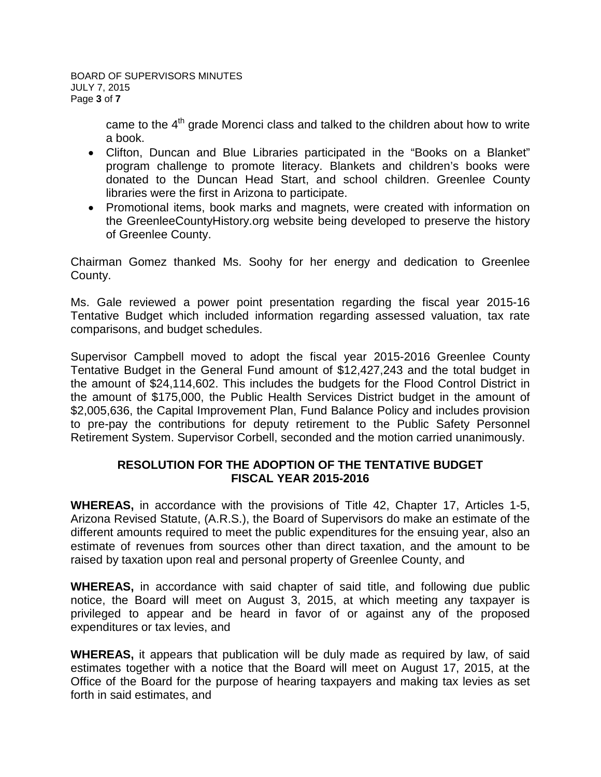came to the  $4<sup>th</sup>$  grade Morenci class and talked to the children about how to write a book.

- Clifton, Duncan and Blue Libraries participated in the "Books on a Blanket" program challenge to promote literacy. Blankets and children's books were donated to the Duncan Head Start, and school children. Greenlee County libraries were the first in Arizona to participate.
- Promotional items, book marks and magnets, were created with information on the GreenleeCountyHistory.org website being developed to preserve the history of Greenlee County.

Chairman Gomez thanked Ms. Soohy for her energy and dedication to Greenlee County.

Ms. Gale reviewed a power point presentation regarding the fiscal year 2015-16 Tentative Budget which included information regarding assessed valuation, tax rate comparisons, and budget schedules.

Supervisor Campbell moved to adopt the fiscal year 2015-2016 Greenlee County Tentative Budget in the General Fund amount of \$12,427,243 and the total budget in the amount of \$24,114,602. This includes the budgets for the Flood Control District in the amount of \$175,000, the Public Health Services District budget in the amount of \$2,005,636, the Capital Improvement Plan, Fund Balance Policy and includes provision to pre-pay the contributions for deputy retirement to the Public Safety Personnel Retirement System. Supervisor Corbell, seconded and the motion carried unanimously.

## **RESOLUTION FOR THE ADOPTION OF THE TENTATIVE BUDGET FISCAL YEAR 2015-2016**

**WHEREAS,** in accordance with the provisions of Title 42, Chapter 17, Articles 1-5, Arizona Revised Statute, (A.R.S.), the Board of Supervisors do make an estimate of the different amounts required to meet the public expenditures for the ensuing year, also an estimate of revenues from sources other than direct taxation, and the amount to be raised by taxation upon real and personal property of Greenlee County, and

**WHEREAS,** in accordance with said chapter of said title, and following due public notice, the Board will meet on August 3, 2015, at which meeting any taxpayer is privileged to appear and be heard in favor of or against any of the proposed expenditures or tax levies, and

**WHEREAS,** it appears that publication will be duly made as required by law, of said estimates together with a notice that the Board will meet on August 17, 2015, at the Office of the Board for the purpose of hearing taxpayers and making tax levies as set forth in said estimates, and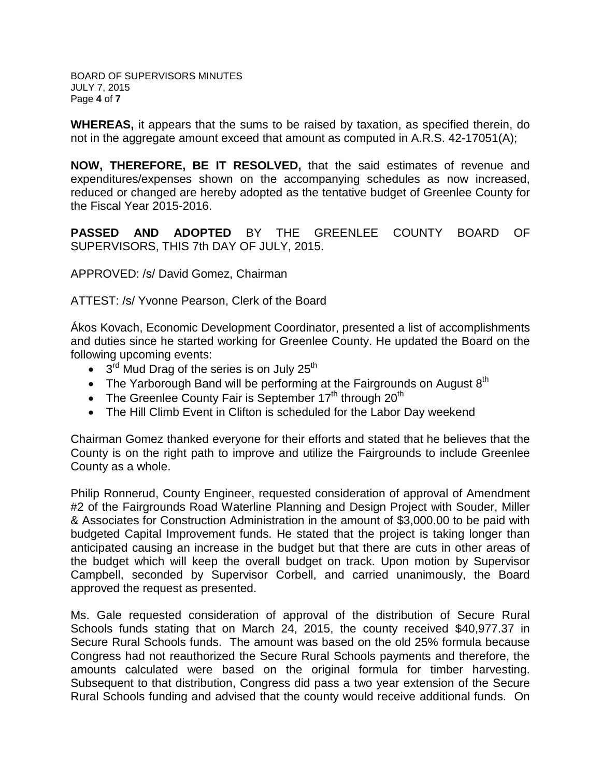BOARD OF SUPERVISORS MINUTES JULY 7, 2015 Page **4** of **7**

**WHEREAS,** it appears that the sums to be raised by taxation, as specified therein, do not in the aggregate amount exceed that amount as computed in A.R.S. 42-17051(A);

**NOW, THEREFORE, BE IT RESOLVED,** that the said estimates of revenue and expenditures/expenses shown on the accompanying schedules as now increased, reduced or changed are hereby adopted as the tentative budget of Greenlee County for the Fiscal Year 2015-2016.

**PASSED AND ADOPTED** BY THE GREENLEE COUNTY BOARD OF SUPERVISORS, THIS 7th DAY OF JULY, 2015.

APPROVED: /s/ David Gomez, Chairman

ATTEST: /s/ Yvonne Pearson, Clerk of the Board

Ákos Kovach, Economic Development Coordinator, presented a list of accomplishments and duties since he started working for Greenlee County. He updated the Board on the following upcoming events:

- $\bullet$  3<sup>rd</sup> Mud Drag of the series is on July 25<sup>th</sup>
- The Yarborough Band will be performing at the Fairgrounds on August  $8<sup>th</sup>$
- The Greenlee County Fair is September  $17<sup>th</sup>$  through  $20<sup>th</sup>$
- The Hill Climb Event in Clifton is scheduled for the Labor Day weekend

Chairman Gomez thanked everyone for their efforts and stated that he believes that the County is on the right path to improve and utilize the Fairgrounds to include Greenlee County as a whole.

Philip Ronnerud, County Engineer, requested consideration of approval of Amendment #2 of the Fairgrounds Road Waterline Planning and Design Project with Souder, Miller & Associates for Construction Administration in the amount of \$3,000.00 to be paid with budgeted Capital Improvement funds. He stated that the project is taking longer than anticipated causing an increase in the budget but that there are cuts in other areas of the budget which will keep the overall budget on track. Upon motion by Supervisor Campbell, seconded by Supervisor Corbell, and carried unanimously, the Board approved the request as presented.

Ms. Gale requested consideration of approval of the distribution of Secure Rural Schools funds stating that on March 24, 2015, the county received \$40,977.37 in Secure Rural Schools funds. The amount was based on the old 25% formula because Congress had not reauthorized the Secure Rural Schools payments and therefore, the amounts calculated were based on the original formula for timber harvesting. Subsequent to that distribution, Congress did pass a two year extension of the Secure Rural Schools funding and advised that the county would receive additional funds. On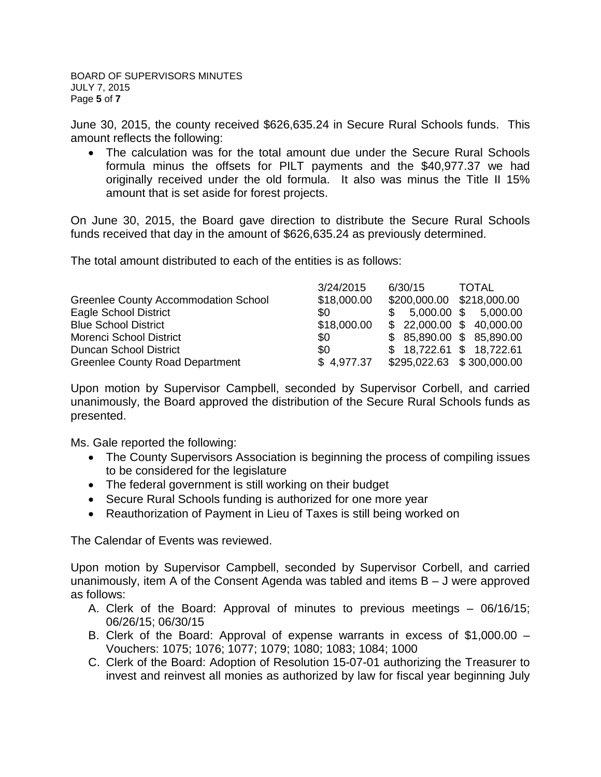June 30, 2015, the county received \$626,635.24 in Secure Rural Schools funds. This amount reflects the following:

• The calculation was for the total amount due under the Secure Rural Schools formula minus the offsets for PILT payments and the \$40,977.37 we had originally received under the old formula. It also was minus the Title II 15% amount that is set aside for forest projects.

On June 30, 2015, the Board gave direction to distribute the Secure Rural Schools funds received that day in the amount of \$626,635.24 as previously determined.

The total amount distributed to each of the entities is as follows:

|                                        | 3/24/2015   | 6/30/15                        | TOTAL |
|----------------------------------------|-------------|--------------------------------|-------|
| Greenlee County Accommodation School   | \$18,000.00 | \$200,000.00 \$218,000.00      |       |
| Eagle School District                  | \$0         | $$5,000.00 \text{ } $5,000.00$ |       |
| <b>Blue School District</b>            | \$18,000.00 | \$22,000.00 \$40,000.00        |       |
| <b>Morenci School District</b>         | SO.         | \$ 85,890.00 \$ 85,890.00      |       |
| <b>Duncan School District</b>          | \$0         | $$18,722.61$ \$ 18,722.61      |       |
| <b>Greenlee County Road Department</b> | \$4,977.37  | \$295,022.63 \$300,000.00      |       |

Upon motion by Supervisor Campbell, seconded by Supervisor Corbell, and carried unanimously, the Board approved the distribution of the Secure Rural Schools funds as presented.

Ms. Gale reported the following:

- The County Supervisors Association is beginning the process of compiling issues to be considered for the legislature
- The federal government is still working on their budget
- Secure Rural Schools funding is authorized for one more year
- Reauthorization of Payment in Lieu of Taxes is still being worked on

The Calendar of Events was reviewed.

Upon motion by Supervisor Campbell, seconded by Supervisor Corbell, and carried unanimously, item A of the Consent Agenda was tabled and items B – J were approved as follows:

- A. Clerk of the Board: Approval of minutes to previous meetings 06/16/15; 06/26/15; 06/30/15
- B. Clerk of the Board: Approval of expense warrants in excess of \$1,000.00 Vouchers: 1075; 1076; 1077; 1079; 1080; 1083; 1084; 1000
- C. Clerk of the Board: Adoption of Resolution 15-07-01 authorizing the Treasurer to invest and reinvest all monies as authorized by law for fiscal year beginning July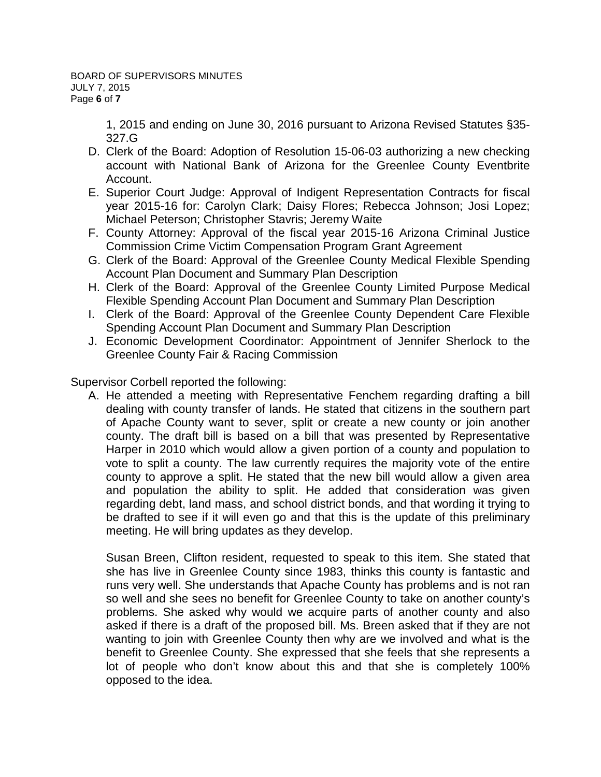1, 2015 and ending on June 30, 2016 pursuant to Arizona Revised Statutes §35- 327.G

- D. Clerk of the Board: Adoption of Resolution 15-06-03 authorizing a new checking account with National Bank of Arizona for the Greenlee County Eventbrite Account.
- E. Superior Court Judge: Approval of Indigent Representation Contracts for fiscal year 2015-16 for: Carolyn Clark; Daisy Flores; Rebecca Johnson; Josi Lopez; Michael Peterson; Christopher Stavris; Jeremy Waite
- F. County Attorney: Approval of the fiscal year 2015-16 Arizona Criminal Justice Commission Crime Victim Compensation Program Grant Agreement
- G. Clerk of the Board: Approval of the Greenlee County Medical Flexible Spending Account Plan Document and Summary Plan Description
- H. Clerk of the Board: Approval of the Greenlee County Limited Purpose Medical Flexible Spending Account Plan Document and Summary Plan Description
- I. Clerk of the Board: Approval of the Greenlee County Dependent Care Flexible Spending Account Plan Document and Summary Plan Description
- J. Economic Development Coordinator: Appointment of Jennifer Sherlock to the Greenlee County Fair & Racing Commission

Supervisor Corbell reported the following:

A. He attended a meeting with Representative Fenchem regarding drafting a bill dealing with county transfer of lands. He stated that citizens in the southern part of Apache County want to sever, split or create a new county or join another county. The draft bill is based on a bill that was presented by Representative Harper in 2010 which would allow a given portion of a county and population to vote to split a county. The law currently requires the majority vote of the entire county to approve a split. He stated that the new bill would allow a given area and population the ability to split. He added that consideration was given regarding debt, land mass, and school district bonds, and that wording it trying to be drafted to see if it will even go and that this is the update of this preliminary meeting. He will bring updates as they develop.

Susan Breen, Clifton resident, requested to speak to this item. She stated that she has live in Greenlee County since 1983, thinks this county is fantastic and runs very well. She understands that Apache County has problems and is not ran so well and she sees no benefit for Greenlee County to take on another county's problems. She asked why would we acquire parts of another county and also asked if there is a draft of the proposed bill. Ms. Breen asked that if they are not wanting to join with Greenlee County then why are we involved and what is the benefit to Greenlee County. She expressed that she feels that she represents a lot of people who don't know about this and that she is completely 100% opposed to the idea.